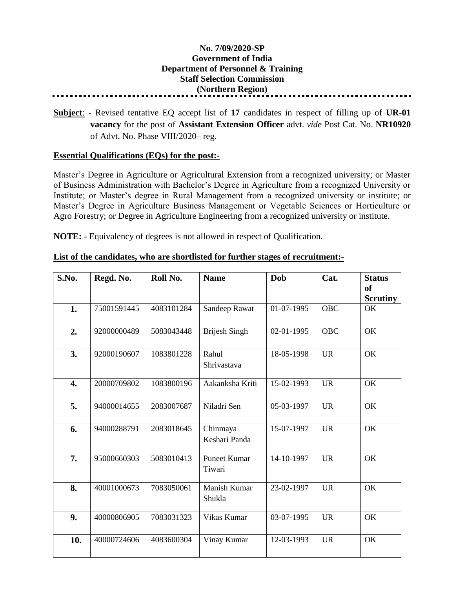## **No. 7/09/2020-SP Government of India Department of Personnel & Training Staff Selection Commission (Northern Region)**

**Subject**: - Revised tentative EQ accept list of **17** candidates in respect of filling up of **UR-01 vacancy** for the post of **Assistant Extension Officer** advt. *vide* Post Cat. No. **NR10920** of Advt. No. Phase VIII/2020– reg.

## **Essential Qualifications (EQs) for the post:-**

Master's Degree in Agriculture or Agricultural Extension from a recognized university; or Master of Business Administration with Bachelor's Degree in Agriculture from a recognized University or Institute; or Master's degree in Rural Management from a recognized university or institute; or Master's Degree in Agriculture Business Management or Vegetable Sciences or Horticulture or Agro Forestry; or Degree in Agriculture Engineering from a recognized university or institute.

**NOTE:** - Equivalency of degrees is not allowed in respect of Qualification.

| S.No. | Regd. No.   | Roll No.   | <b>Name</b>                   | Dob        | Cat.       | <b>Status</b><br><sub>of</sub><br><b>Scrutiny</b> |
|-------|-------------|------------|-------------------------------|------------|------------|---------------------------------------------------|
| 1.    | 75001591445 | 4083101284 | Sandeep Rawat                 | 01-07-1995 | <b>OBC</b> | OK                                                |
| 2.    | 92000000489 | 5083043448 | <b>Brijesh Singh</b>          | 02-01-1995 | <b>OBC</b> | OK                                                |
| 3.    | 92000190607 | 1083801228 | Rahul<br>Shrivastava          | 18-05-1998 | <b>UR</b>  | OK                                                |
| 4.    | 20000709802 | 1083800196 | Aakanksha Kriti               | 15-02-1993 | <b>UR</b>  | OK                                                |
| 5.    | 94000014655 | 2083007687 | Niladri Sen                   | 05-03-1997 | <b>UR</b>  | OK                                                |
| 6.    | 94000288791 | 2083018645 | Chinmaya<br>Keshari Panda     | 15-07-1997 | <b>UR</b>  | OK                                                |
| 7.    | 95000660303 | 5083010413 | <b>Puneet Kumar</b><br>Tiwari | 14-10-1997 | <b>UR</b>  | OK                                                |
| 8.    | 40001000673 | 7083050061 | Manish Kumar<br>Shukla        | 23-02-1997 | <b>UR</b>  | OK                                                |
| 9.    | 40000806905 | 7083031323 | Vikas Kumar                   | 03-07-1995 | <b>UR</b>  | OK                                                |
| 10.   | 40000724606 | 4083600304 | Vinay Kumar                   | 12-03-1993 | <b>UR</b>  | OK                                                |

## **List of the candidates, who are shortlisted for further stages of recruitment:-**